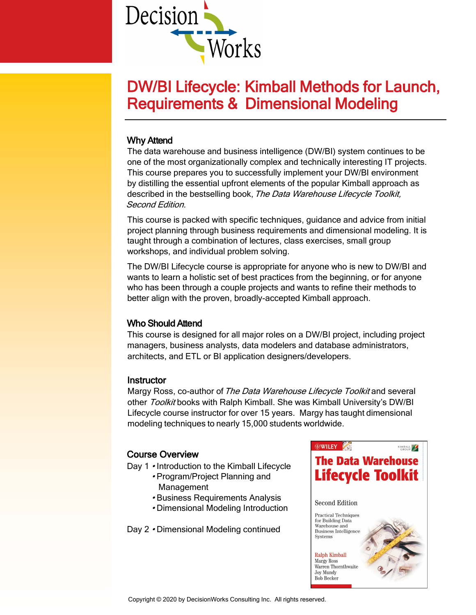

# DW/BI Lifecycle: Kimball Methods for Launch, Requirements & Dimensional Modeling

## Why Attend

The data warehouse and business intelligence (DW/BI) system continues to be one of the most organizationally complex and technically interesting IT projects. This course prepares you to successfully implement your DW/BI environment by distilling the essential upfront elements of the popular Kimball approach as described in the bestselling book, The Data Warehouse Lifecycle Toolkit, Second Edition.

This course is packed with specific techniques, guidance and advice from initial project planning through business requirements and dimensional modeling. It is taught through a combination of lectures, class exercises, small group workshops, and individual problem solving.

The DW/BI Lifecycle course is appropriate for anyone who is new to DW/BI and wants to learn a holistic set of best practices from the beginning, or for anyone who has been through a couple projects and wants to refine their methods to better align with the proven, broadly-accepted Kimball approach.

## Who Should Attend

This course is designed for all major roles on a DW/BI project, including project managers, business analysts, data modelers and database administrators, architects, and ETL or BI application designers/developers.

### **Instructor**

Margy Ross, co-author of The Data Warehouse Lifecycle Toolkit and several other Toolkit books with Ralph Kimball. She was Kimball University's DW/BI Lifecycle course instructor for over 15 years. Margy has taught dimensional modeling techniques to nearly 15,000 students worldwide.

## Course Overview

- Day 1 Introduction to the Kimball Lifecycle
	- Program/Project Planning and Management
	- Business Requirements Analysis
	- Dimensional Modeling Introduction

Day 2 • Dimensional Modeling continued